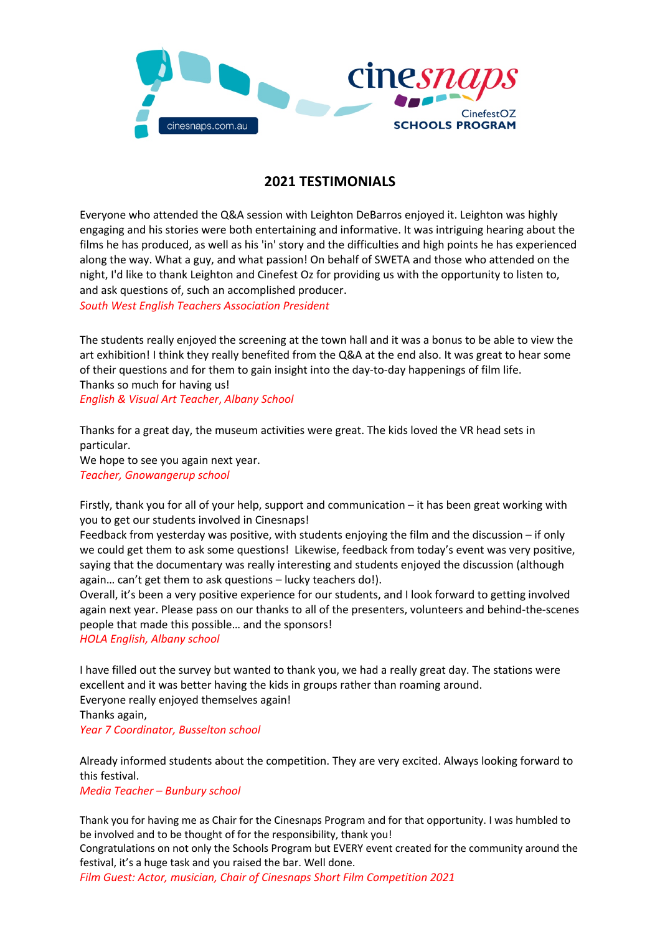

## **2021 TESTIMONIALS**

Everyone who attended the Q&A session with Leighton DeBarros enjoyed it. Leighton was highly engaging and his stories were both entertaining and informative. It was intriguing hearing about the films he has produced, as well as his 'in' story and the difficulties and high points he has experienced along the way. What a guy, and what passion! On behalf of SWETA and those who attended on the night, I'd like to thank Leighton and Cinefest Oz for providing us with the opportunity to listen to, and ask questions of, such an accomplished producer.

*South West English Teachers Association President* 

The students really enjoyed the screening at the town hall and it was a bonus to be able to view the art exhibition! I think they really benefited from the Q&A at the end also. It was great to hear some of their questions and for them to gain insight into the day-to-day happenings of film life. Thanks so much for having us!

*English & Visual Art Teacher*, *Albany School*

Thanks for a great day, the museum activities were great. The kids loved the VR head sets in particular. We hope to see you again next year.

*Teacher, Gnowangerup school*

Firstly, thank you for all of your help, support and communication – it has been great working with you to get our students involved in Cinesnaps!

Feedback from yesterday was positive, with students enjoying the film and the discussion – if only we could get them to ask some questions! Likewise, feedback from today's event was very positive, saying that the documentary was really interesting and students enjoyed the discussion (although again… can't get them to ask questions – lucky teachers do!).

Overall, it's been a very positive experience for our students, and I look forward to getting involved again next year. Please pass on our thanks to all of the presenters, volunteers and behind-the-scenes people that made this possible… and the sponsors!

*HOLA English, Albany school*

I have filled out the survey but wanted to thank you, we had a really great day. The stations were excellent and it was better having the kids in groups rather than roaming around. Everyone really enjoyed themselves again! Thanks again,

*Year 7 Coordinator, Busselton school*

Already informed students about the competition. They are very excited. Always looking forward to this festival.

*Media Teacher – Bunbury school*

Thank you for having me as Chair for the Cinesnaps Program and for that opportunity. I was humbled to be involved and to be thought of for the responsibility, thank you!

Congratulations on not only the Schools Program but EVERY event created for the community around the festival, it's a huge task and you raised the bar. Well done.

*Film Guest: Actor, musician, Chair of Cinesnaps Short Film Competition 2021*